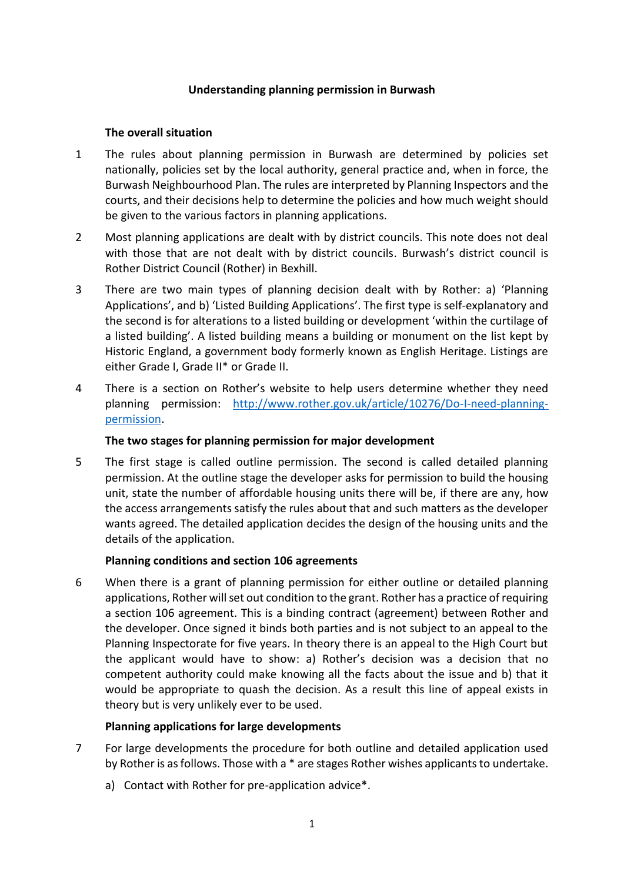#### **Understanding planning permission in Burwash**

## **The overall situation**

- 1 The rules about planning permission in Burwash are determined by policies set nationally, policies set by the local authority, general practice and, when in force, the Burwash Neighbourhood Plan. The rules are interpreted by Planning Inspectors and the courts, and their decisions help to determine the policies and how much weight should be given to the various factors in planning applications.
- 2 Most planning applications are dealt with by district councils. This note does not deal with those that are not dealt with by district councils. Burwash's district council is Rother District Council (Rother) in Bexhill.
- 3 There are two main types of planning decision dealt with by Rother: a) 'Planning Applications', and b) 'Listed Building Applications'. The first type is self-explanatory and the second is for alterations to a listed building or development 'within the curtilage of a listed building'. A listed building means a building or monument on the list kept by Historic England, a government body formerly known as English Heritage. Listings are either Grade I, Grade II\* or Grade II.
- 4 There is a section on Rother's website to help users determine whether they need planning permission: [http://www.rother.gov.uk/article/10276/Do-I-need-planning](http://www.rother.gov.uk/article/10276/Do-I-need-planning-permission)[permission.](http://www.rother.gov.uk/article/10276/Do-I-need-planning-permission)

## **The two stages for planning permission for major development**

5 The first stage is called outline permission. The second is called detailed planning permission. At the outline stage the developer asks for permission to build the housing unit, state the number of affordable housing units there will be, if there are any, how the access arrangements satisfy the rules about that and such matters as the developer wants agreed. The detailed application decides the design of the housing units and the details of the application.

# **Planning conditions and section 106 agreements**

6 When there is a grant of planning permission for either outline or detailed planning applications, Rother will set out condition to the grant. Rother has a practice of requiring a section 106 agreement. This is a binding contract (agreement) between Rother and the developer. Once signed it binds both parties and is not subject to an appeal to the Planning Inspectorate for five years. In theory there is an appeal to the High Court but the applicant would have to show: a) Rother's decision was a decision that no competent authority could make knowing all the facts about the issue and b) that it would be appropriate to quash the decision. As a result this line of appeal exists in theory but is very unlikely ever to be used.

# **Planning applications for large developments**

- 7 For large developments the procedure for both outline and detailed application used by Rother is as follows. Those with a \* are stages Rother wishes applicants to undertake.
	- a) Contact with Rother for pre-application advice\*.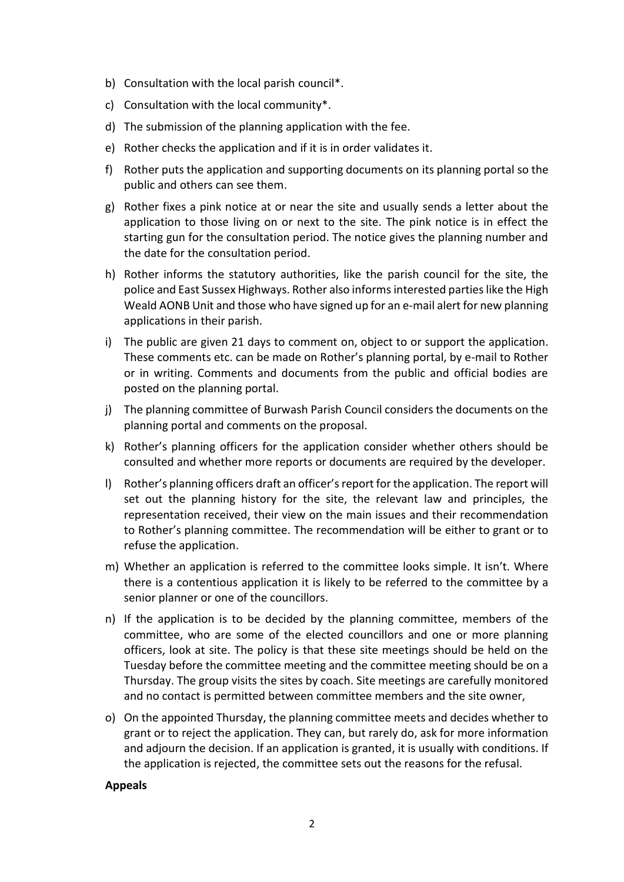- b) Consultation with the local parish council\*.
- c) Consultation with the local community\*.
- d) The submission of the planning application with the fee.
- e) Rother checks the application and if it is in order validates it.
- f) Rother puts the application and supporting documents on its planning portal so the public and others can see them.
- g) Rother fixes a pink notice at or near the site and usually sends a letter about the application to those living on or next to the site. The pink notice is in effect the starting gun for the consultation period. The notice gives the planning number and the date for the consultation period.
- h) Rother informs the statutory authorities, like the parish council for the site, the police and East Sussex Highways. Rother also informs interested parties like the High Weald AONB Unit and those who have signed up for an e-mail alert for new planning applications in their parish.
- i) The public are given 21 days to comment on, object to or support the application. These comments etc. can be made on Rother's planning portal, by e-mail to Rother or in writing. Comments and documents from the public and official bodies are posted on the planning portal.
- j) The planning committee of Burwash Parish Council considers the documents on the planning portal and comments on the proposal.
- k) Rother's planning officers for the application consider whether others should be consulted and whether more reports or documents are required by the developer.
- l) Rother's planning officers draft an officer's report for the application. The report will set out the planning history for the site, the relevant law and principles, the representation received, their view on the main issues and their recommendation to Rother's planning committee. The recommendation will be either to grant or to refuse the application.
- m) Whether an application is referred to the committee looks simple. It isn't. Where there is a contentious application it is likely to be referred to the committee by a senior planner or one of the councillors.
- n) If the application is to be decided by the planning committee, members of the committee, who are some of the elected councillors and one or more planning officers, look at site. The policy is that these site meetings should be held on the Tuesday before the committee meeting and the committee meeting should be on a Thursday. The group visits the sites by coach. Site meetings are carefully monitored and no contact is permitted between committee members and the site owner,
- o) On the appointed Thursday, the planning committee meets and decides whether to grant or to reject the application. They can, but rarely do, ask for more information and adjourn the decision. If an application is granted, it is usually with conditions. If the application is rejected, the committee sets out the reasons for the refusal.

#### **Appeals**